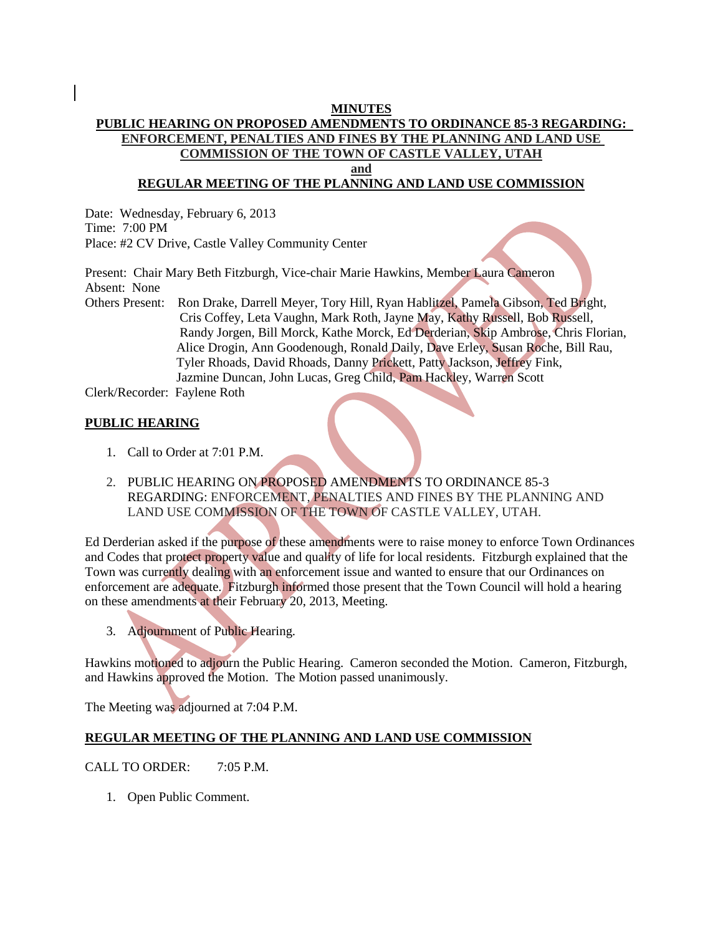## **MINUTES**

# **PUBLIC HEARING ON PROPOSED AMENDMENTS TO ORDINANCE 85-3 REGARDING: ENFORCEMENT, PENALTIES AND FINES BY THE PLANNING AND LAND USE COMMISSION OF THE TOWN OF CASTLE VALLEY, UTAH and**

# **REGULAR MEETING OF THE PLANNING AND LAND USE COMMISSION**

Date: Wednesday, February 6, 2013 Time: 7:00 PM Place: #2 CV Drive, Castle Valley Community Center

Present: Chair Mary Beth Fitzburgh, Vice-chair Marie Hawkins, Member Laura Cameron Absent: None

Others Present: Ron Drake, Darrell Meyer, Tory Hill, Ryan Hablitzel, Pamela Gibson, Ted Bright, Cris Coffey, Leta Vaughn, Mark Roth, Jayne May, Kathy Russell, Bob Russell, Randy Jorgen, Bill Morck, Kathe Morck, Ed Derderian, Skip Ambrose, Chris Florian, Alice Drogin, Ann Goodenough, Ronald Daily, Dave Erley, Susan Roche, Bill Rau, Tyler Rhoads, David Rhoads, Danny Prickett, Patty Jackson, Jeffrey Fink, Jazmine Duncan, John Lucas, Greg Child, Pam Hackley, Warren Scott

Clerk/Recorder: Faylene Roth

## **PUBLIC HEARING**

- 1. Call to Order at 7:01 P.M.
- 2. PUBLIC HEARING ON PROPOSED AMENDMENTS TO ORDINANCE 85-3 REGARDING: ENFORCEMENT, PENALTIES AND FINES BY THE PLANNING AND LAND USE COMMISSION OF THE TOWN OF CASTLE VALLEY, UTAH.

Ed Derderian asked if the purpose of these amendments were to raise money to enforce Town Ordinances and Codes that protect property value and quality of life for local residents. Fitzburgh explained that the Town was currently dealing with an enforcement issue and wanted to ensure that our Ordinances on enforcement are adequate. Fitzburgh informed those present that the Town Council will hold a hearing on these amendments at their February 20, 2013, Meeting.

3. Adjournment of Public Hearing.

Hawkins motioned to adjourn the Public Hearing. Cameron seconded the Motion. Cameron, Fitzburgh, and Hawkins approved the Motion. The Motion passed unanimously.

The Meeting was adjourned at 7:04 P.M.

### **REGULAR MEETING OF THE PLANNING AND LAND USE COMMISSION**

### CALL TO ORDER: 7:05 P.M.

1. Open Public Comment.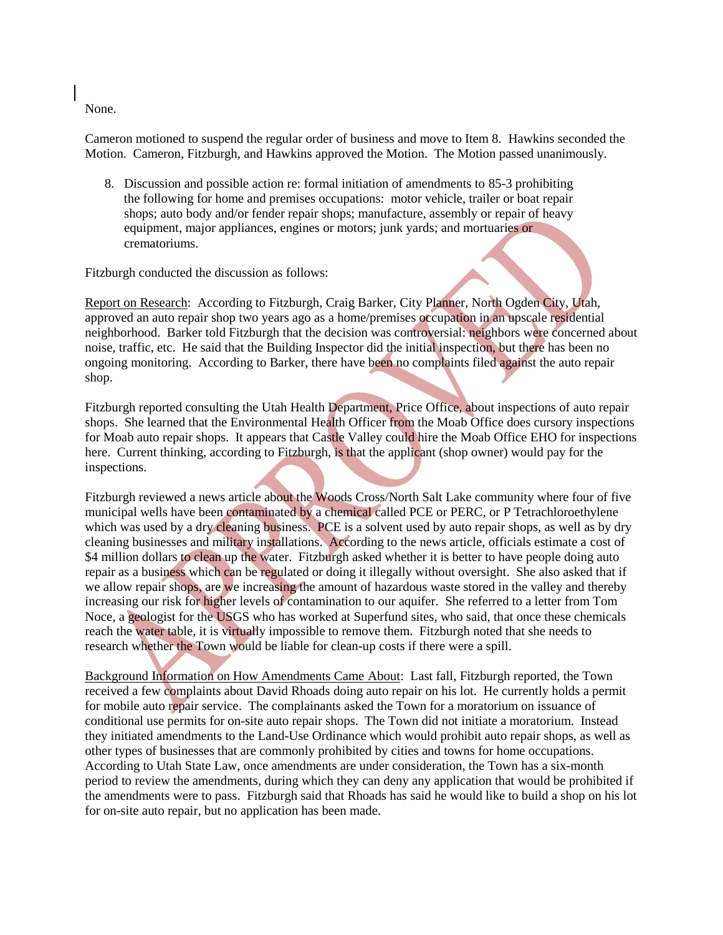None.

Cameron motioned to suspend the regular order of business and move to Item 8. Hawkins seconded the Motion. Cameron, Fitzburgh, and Hawkins approved the Motion. The Motion passed unanimously.

 8. Discussion and possible action re: formal initiation of amendments to 85-3 prohibiting the following for home and premises occupations: motor vehicle, trailer or boat repair shops; auto body and/or fender repair shops; manufacture, assembly or repair of heavy equipment, major appliances, engines or motors; junk yards; and mortuaries or crematoriums.

Fitzburgh conducted the discussion as follows:

Report on Research: According to Fitzburgh, Craig Barker, City Planner, North Ogden City, Utah, approved an auto repair shop two years ago as a home/premises occupation in an upscale residential neighborhood. Barker told Fitzburgh that the decision was controversial: neighbors were concerned about noise, traffic, etc. He said that the Building Inspector did the initial inspection, but there has been no ongoing monitoring. According to Barker, there have been no complaints filed against the auto repair shop.

Fitzburgh reported consulting the Utah Health Department, Price Office, about inspections of auto repair shops. She learned that the Environmental Health Officer from the Moab Office does cursory inspections for Moab auto repair shops. It appears that Castle Valley could hire the Moab Office EHO for inspections here. Current thinking, according to Fitzburgh, is that the applicant (shop owner) would pay for the inspections.

Fitzburgh reviewed a news article about the Woods Cross/North Salt Lake community where four of five municipal wells have been contaminated by a chemical called PCE or PERC, or P Tetrachloroethylene which was used by a dry cleaning business. PCE is a solvent used by auto repair shops, as well as by dry cleaning businesses and military installations. According to the news article, officials estimate a cost of \$4 million dollars to clean up the water. Fitzburgh asked whether it is better to have people doing auto repair as a business which can be regulated or doing it illegally without oversight. She also asked that if we allow repair shops, are we increasing the amount of hazardous waste stored in the valley and thereby increasing our risk for higher levels of contamination to our aquifer. She referred to a letter from Tom Noce, a geologist for the USGS who has worked at Superfund sites, who said, that once these chemicals reach the water table, it is virtually impossible to remove them. Fitzburgh noted that she needs to research whether the Town would be liable for clean-up costs if there were a spill.

Background Information on How Amendments Came About: Last fall, Fitzburgh reported, the Town received a few complaints about David Rhoads doing auto repair on his lot. He currently holds a permit for mobile auto repair service. The complainants asked the Town for a moratorium on issuance of conditional use permits for on-site auto repair shops. The Town did not initiate a moratorium. Instead they initiated amendments to the Land-Use Ordinance which would prohibit auto repair shops, as well as other types of businesses that are commonly prohibited by cities and towns for home occupations. According to Utah State Law, once amendments are under consideration, the Town has a six-month period to review the amendments, during which they can deny any application that would be prohibited if the amendments were to pass. Fitzburgh said that Rhoads has said he would like to build a shop on his lot for on-site auto repair, but no application has been made.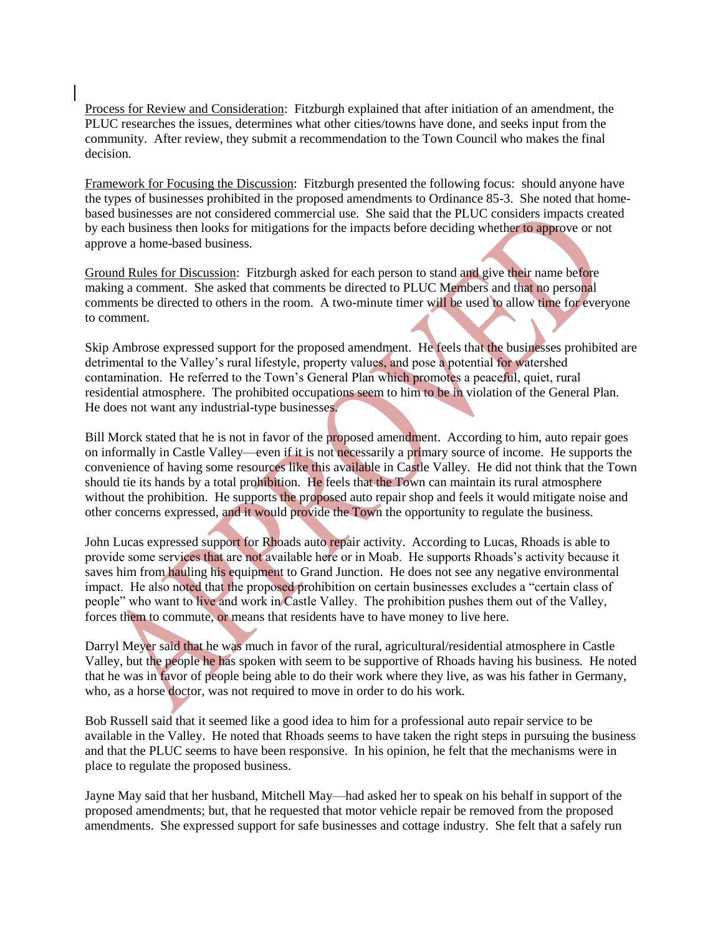Process for Review and Consideration: Fitzburgh explained that after initiation of an amendment, the PLUC researches the issues, determines what other cities/towns have done, and seeks input from the community. After review, they submit a recommendation to the Town Council who makes the final decision.

Framework for Focusing the Discussion: Fitzburgh presented the following focus: should anyone have the types of businesses prohibited in the proposed amendments to Ordinance 85-3. She noted that homebased businesses are not considered commercial use. She said that the PLUC considers impacts created by each business then looks for mitigations for the impacts before deciding whether to approve or not approve a home-based business.

Ground Rules for Discussion: Fitzburgh asked for each person to stand and give their name before making a comment. She asked that comments be directed to PLUC Members and that no personal comments be directed to others in the room. A two-minute timer will be used to allow time for everyone to comment.

Skip Ambrose expressed support for the proposed amendment. He feels that the businesses prohibited are detrimental to the Valley's rural lifestyle, property values, and pose a potential for watershed contamination. He referred to the Town's General Plan which promotes a peaceful, quiet, rural residential atmosphere. The prohibited occupations seem to him to be in violation of the General Plan. He does not want any industrial-type businesses.

Bill Morck stated that he is not in favor of the proposed amendment. According to him, auto repair goes on informally in Castle Valley—even if it is not necessarily a primary source of income. He supports the convenience of having some resources like this available in Castle Valley. He did not think that the Town should tie its hands by a total prohibition. He feels that the Town can maintain its rural atmosphere without the prohibition. He supports the proposed auto repair shop and feels it would mitigate noise and other concerns expressed, and it would provide the Town the opportunity to regulate the business.

John Lucas expressed support for Rhoads auto repair activity. According to Lucas, Rhoads is able to provide some services that are not available here or in Moab. He supports Rhoads's activity because it saves him from hauling his equipment to Grand Junction. He does not see any negative environmental impact. He also noted that the proposed prohibition on certain businesses excludes a "certain class of people" who want to live and work in Castle Valley. The prohibition pushes them out of the Valley, forces them to commute, or means that residents have to have money to live here.

Darryl Meyer said that he was much in favor of the rural, agricultural/residential atmosphere in Castle Valley, but the people he has spoken with seem to be supportive of Rhoads having his business. He noted that he was in favor of people being able to do their work where they live, as was his father in Germany, who, as a horse doctor, was not required to move in order to do his work.

Bob Russell said that it seemed like a good idea to him for a professional auto repair service to be available in the Valley. He noted that Rhoads seems to have taken the right steps in pursuing the business and that the PLUC seems to have been responsive. In his opinion, he felt that the mechanisms were in place to regulate the proposed business.

Jayne May said that her husband, Mitchell May—had asked her to speak on his behalf in support of the proposed amendments; but, that he requested that motor vehicle repair be removed from the proposed amendments. She expressed support for safe businesses and cottage industry. She felt that a safely run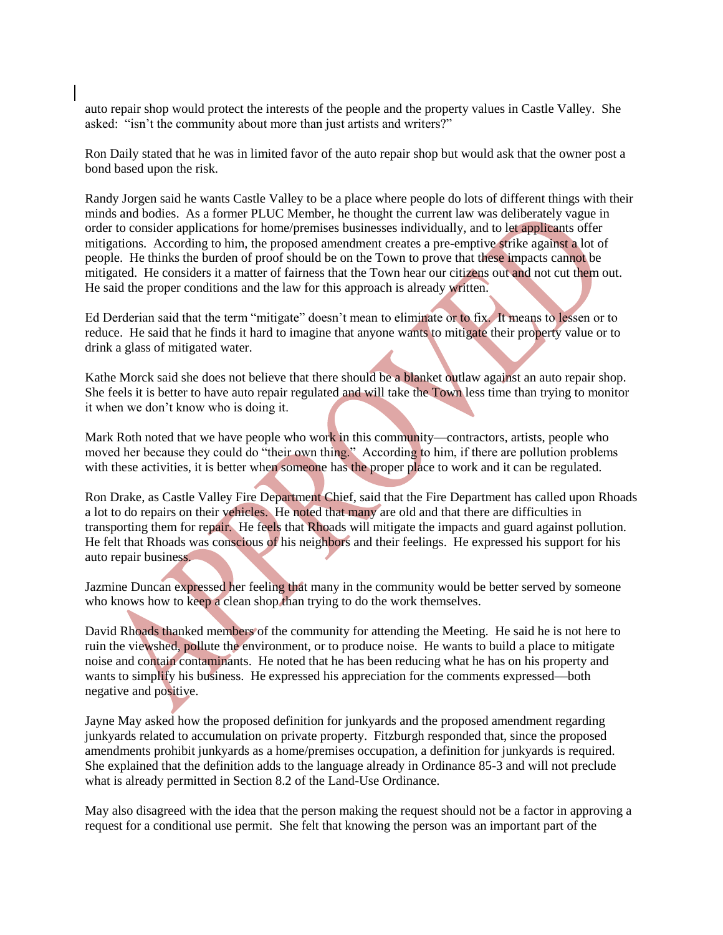auto repair shop would protect the interests of the people and the property values in Castle Valley. She asked: "isn't the community about more than just artists and writers?"

Ron Daily stated that he was in limited favor of the auto repair shop but would ask that the owner post a bond based upon the risk.

Randy Jorgen said he wants Castle Valley to be a place where people do lots of different things with their minds and bodies. As a former PLUC Member, he thought the current law was deliberately vague in order to consider applications for home/premises businesses individually, and to let applicants offer mitigations. According to him, the proposed amendment creates a pre-emptive strike against a lot of people. He thinks the burden of proof should be on the Town to prove that these impacts cannot be mitigated. He considers it a matter of fairness that the Town hear our citizens out and not cut them out. He said the proper conditions and the law for this approach is already written.

Ed Derderian said that the term "mitigate" doesn't mean to eliminate or to fix. It means to lessen or to reduce. He said that he finds it hard to imagine that anyone wants to mitigate their property value or to drink a glass of mitigated water.

Kathe Morck said she does not believe that there should be a blanket outlaw against an auto repair shop. She feels it is better to have auto repair regulated and will take the Town less time than trying to monitor it when we don't know who is doing it.

Mark Roth noted that we have people who work in this community—contractors, artists, people who moved her because they could do "their own thing." According to him, if there are pollution problems with these activities, it is better when someone has the proper place to work and it can be regulated.

Ron Drake, as Castle Valley Fire Department Chief, said that the Fire Department has called upon Rhoads a lot to do repairs on their vehicles. He noted that many are old and that there are difficulties in transporting them for repair. He feels that Rhoads will mitigate the impacts and guard against pollution. He felt that Rhoads was conscious of his neighbors and their feelings. He expressed his support for his auto repair business.

Jazmine Duncan expressed her feeling that many in the community would be better served by someone who knows how to keep a clean shop than trying to do the work themselves.

David Rhoads thanked members of the community for attending the Meeting. He said he is not here to ruin the viewshed, pollute the environment, or to produce noise. He wants to build a place to mitigate noise and contain contaminants. He noted that he has been reducing what he has on his property and wants to simplify his business. He expressed his appreciation for the comments expressed—both negative and positive.

Jayne May asked how the proposed definition for junkyards and the proposed amendment regarding junkyards related to accumulation on private property. Fitzburgh responded that, since the proposed amendments prohibit junkyards as a home/premises occupation, a definition for junkyards is required. She explained that the definition adds to the language already in Ordinance 85-3 and will not preclude what is already permitted in Section 8.2 of the Land-Use Ordinance.

May also disagreed with the idea that the person making the request should not be a factor in approving a request for a conditional use permit. She felt that knowing the person was an important part of the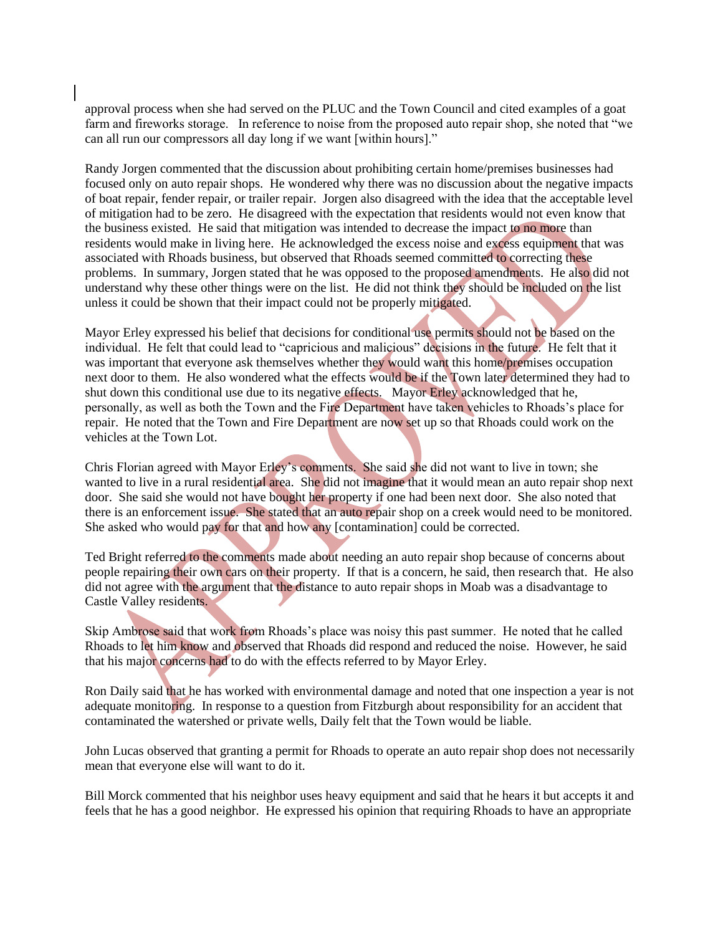approval process when she had served on the PLUC and the Town Council and cited examples of a goat farm and fireworks storage. In reference to noise from the proposed auto repair shop, she noted that "we can all run our compressors all day long if we want [within hours]."

Randy Jorgen commented that the discussion about prohibiting certain home/premises businesses had focused only on auto repair shops. He wondered why there was no discussion about the negative impacts of boat repair, fender repair, or trailer repair. Jorgen also disagreed with the idea that the acceptable level of mitigation had to be zero. He disagreed with the expectation that residents would not even know that the business existed. He said that mitigation was intended to decrease the impact to no more than residents would make in living here. He acknowledged the excess noise and excess equipment that was associated with Rhoads business, but observed that Rhoads seemed committed to correcting these problems. In summary, Jorgen stated that he was opposed to the proposed amendments. He also did not understand why these other things were on the list. He did not think they should be included on the list unless it could be shown that their impact could not be properly mitigated.

Mayor Erley expressed his belief that decisions for conditional use permits should not be based on the individual. He felt that could lead to "capricious and malicious" decisions in the future. He felt that it was important that everyone ask themselves whether they would want this home/premises occupation next door to them. He also wondered what the effects would be if the Town later determined they had to shut down this conditional use due to its negative effects. Mayor Erley acknowledged that he, personally, as well as both the Town and the Fire Department have taken vehicles to Rhoads's place for repair. He noted that the Town and Fire Department are now set up so that Rhoads could work on the vehicles at the Town Lot.

Chris Florian agreed with Mayor Erley's comments. She said she did not want to live in town; she wanted to live in a rural residential area. She did not imagine that it would mean an auto repair shop next door. She said she would not have bought her property if one had been next door. She also noted that there is an enforcement issue. She stated that an auto repair shop on a creek would need to be monitored. She asked who would pay for that and how any [contamination] could be corrected.

Ted Bright referred to the comments made about needing an auto repair shop because of concerns about people repairing their own cars on their property. If that is a concern, he said, then research that. He also did not agree with the argument that the distance to auto repair shops in Moab was a disadvantage to Castle Valley residents.

Skip Ambrose said that work from Rhoads's place was noisy this past summer. He noted that he called Rhoads to let him know and observed that Rhoads did respond and reduced the noise. However, he said that his major concerns had to do with the effects referred to by Mayor Erley.

Ron Daily said that he has worked with environmental damage and noted that one inspection a year is not adequate monitoring. In response to a question from Fitzburgh about responsibility for an accident that contaminated the watershed or private wells, Daily felt that the Town would be liable.

John Lucas observed that granting a permit for Rhoads to operate an auto repair shop does not necessarily mean that everyone else will want to do it.

Bill Morck commented that his neighbor uses heavy equipment and said that he hears it but accepts it and feels that he has a good neighbor. He expressed his opinion that requiring Rhoads to have an appropriate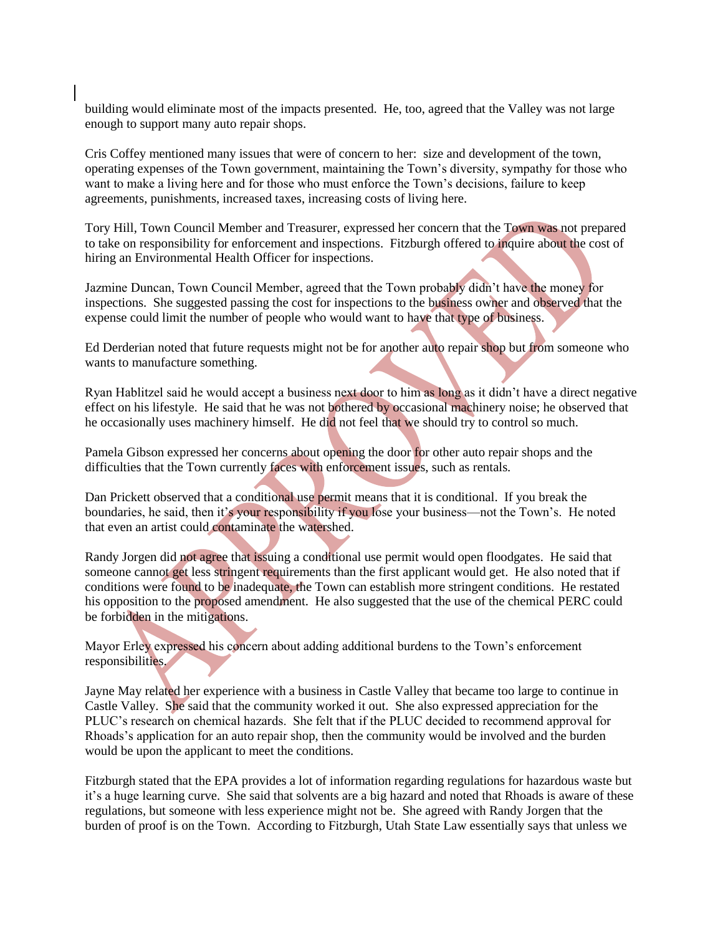building would eliminate most of the impacts presented. He, too, agreed that the Valley was not large enough to support many auto repair shops.

Cris Coffey mentioned many issues that were of concern to her: size and development of the town, operating expenses of the Town government, maintaining the Town's diversity, sympathy for those who want to make a living here and for those who must enforce the Town's decisions, failure to keep agreements, punishments, increased taxes, increasing costs of living here.

Tory Hill, Town Council Member and Treasurer, expressed her concern that the Town was not prepared to take on responsibility for enforcement and inspections. Fitzburgh offered to inquire about the cost of hiring an Environmental Health Officer for inspections.

Jazmine Duncan, Town Council Member, agreed that the Town probably didn't have the money for inspections. She suggested passing the cost for inspections to the business owner and observed that the expense could limit the number of people who would want to have that type of business.

Ed Derderian noted that future requests might not be for another auto repair shop but from someone who wants to manufacture something.

Ryan Hablitzel said he would accept a business next door to him as long as it didn't have a direct negative effect on his lifestyle. He said that he was not bothered by occasional machinery noise; he observed that he occasionally uses machinery himself. He did not feel that we should try to control so much.

Pamela Gibson expressed her concerns about opening the door for other auto repair shops and the difficulties that the Town currently faces with enforcement issues, such as rentals.

Dan Prickett observed that a conditional use permit means that it is conditional. If you break the boundaries, he said, then it's your responsibility if you lose your business—not the Town's. He noted that even an artist could contaminate the watershed.

Randy Jorgen did not agree that issuing a conditional use permit would open floodgates. He said that someone cannot get less stringent requirements than the first applicant would get. He also noted that if conditions were found to be inadequate, the Town can establish more stringent conditions. He restated his opposition to the proposed amendment. He also suggested that the use of the chemical PERC could be forbidden in the mitigations.

Mayor Erley expressed his concern about adding additional burdens to the Town's enforcement responsibilities.

Jayne May related her experience with a business in Castle Valley that became too large to continue in Castle Valley. She said that the community worked it out. She also expressed appreciation for the PLUC's research on chemical hazards. She felt that if the PLUC decided to recommend approval for Rhoads's application for an auto repair shop, then the community would be involved and the burden would be upon the applicant to meet the conditions.

Fitzburgh stated that the EPA provides a lot of information regarding regulations for hazardous waste but it's a huge learning curve. She said that solvents are a big hazard and noted that Rhoads is aware of these regulations, but someone with less experience might not be. She agreed with Randy Jorgen that the burden of proof is on the Town. According to Fitzburgh, Utah State Law essentially says that unless we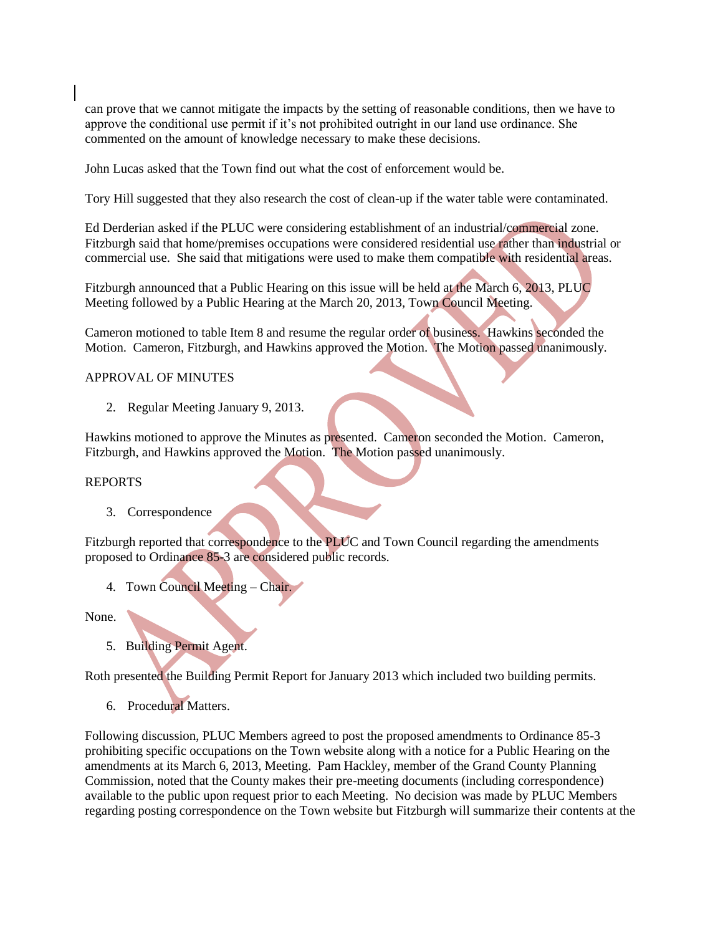can prove that we cannot mitigate the impacts by the setting of reasonable conditions, then we have to approve the conditional use permit if it's not prohibited outright in our land use ordinance. She commented on the amount of knowledge necessary to make these decisions.

John Lucas asked that the Town find out what the cost of enforcement would be.

Tory Hill suggested that they also research the cost of clean-up if the water table were contaminated.

Ed Derderian asked if the PLUC were considering establishment of an industrial/commercial zone. Fitzburgh said that home/premises occupations were considered residential use rather than industrial or commercial use. She said that mitigations were used to make them compatible with residential areas.

Fitzburgh announced that a Public Hearing on this issue will be held at the March 6, 2013, PLUC Meeting followed by a Public Hearing at the March 20, 2013, Town Council Meeting.

Cameron motioned to table Item 8 and resume the regular order of business. Hawkins seconded the Motion. Cameron, Fitzburgh, and Hawkins approved the Motion. The Motion passed unanimously.

#### APPROVAL OF MINUTES

2. Regular Meeting January 9, 2013.

Hawkins motioned to approve the Minutes as presented. Cameron seconded the Motion. Cameron, Fitzburgh, and Hawkins approved the Motion. The Motion passed unanimously.

#### REPORTS

3. Correspondence

Fitzburgh reported that correspondence to the PLUC and Town Council regarding the amendments proposed to Ordinance 85-3 are considered public records.

4. Town Council Meeting – Chair.

None.

5. Building Permit Agent.

Roth presented the Building Permit Report for January 2013 which included two building permits.

6. Procedural Matters.

Following discussion, PLUC Members agreed to post the proposed amendments to Ordinance 85-3 prohibiting specific occupations on the Town website along with a notice for a Public Hearing on the amendments at its March 6, 2013, Meeting. Pam Hackley, member of the Grand County Planning Commission, noted that the County makes their pre-meeting documents (including correspondence) available to the public upon request prior to each Meeting. No decision was made by PLUC Members regarding posting correspondence on the Town website but Fitzburgh will summarize their contents at the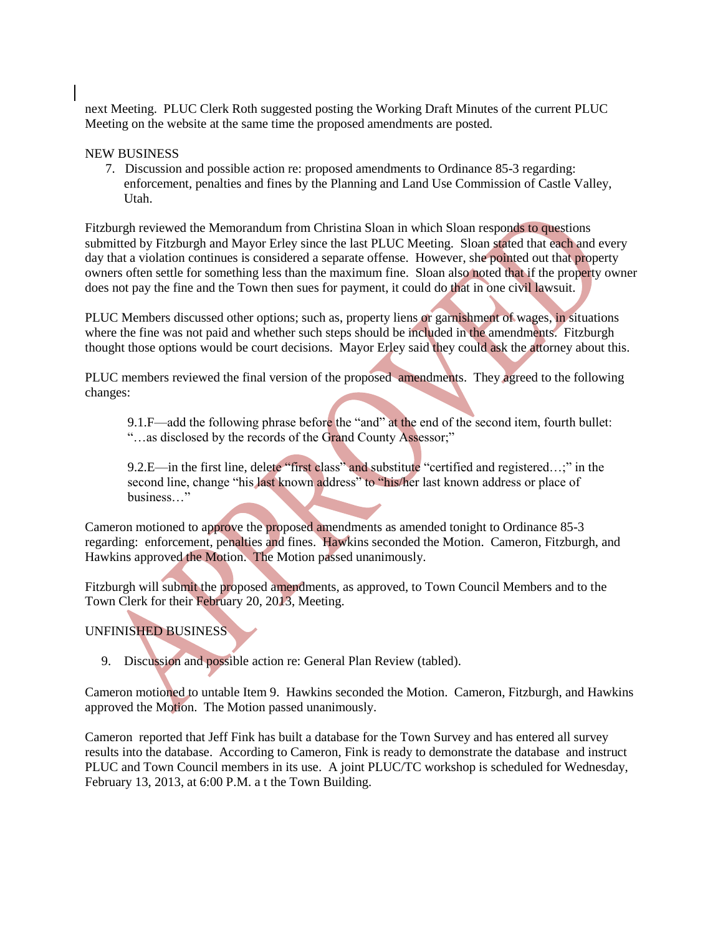next Meeting. PLUC Clerk Roth suggested posting the Working Draft Minutes of the current PLUC Meeting on the website at the same time the proposed amendments are posted.

#### NEW BUSINESS

7. Discussion and possible action re: proposed amendments to Ordinance 85-3 regarding: enforcement, penalties and fines by the Planning and Land Use Commission of Castle Valley, Utah.

Fitzburgh reviewed the Memorandum from Christina Sloan in which Sloan responds to questions submitted by Fitzburgh and Mayor Erley since the last PLUC Meeting. Sloan stated that each and every day that a violation continues is considered a separate offense. However, she pointed out that property owners often settle for something less than the maximum fine. Sloan also noted that if the property owner does not pay the fine and the Town then sues for payment, it could do that in one civil lawsuit.

PLUC Members discussed other options; such as, property liens or garnishment of wages, in situations where the fine was not paid and whether such steps should be included in the amendments. Fitzburgh thought those options would be court decisions. Mayor Erley said they could ask the attorney about this.

PLUC members reviewed the final version of the proposed amendments. They agreed to the following changes:

9.1.F—add the following phrase before the "and" at the end of the second item, fourth bullet: "…as disclosed by the records of the Grand County Assessor;"

9.2.E—in the first line, delete "first class" and substitute "certified and registered...;" in the second line, change "his last known address" to "his/her last known address or place of business…"

Cameron motioned to approve the proposed amendments as amended tonight to Ordinance 85-3 regarding: enforcement, penalties and fines. Hawkins seconded the Motion. Cameron, Fitzburgh, and Hawkins approved the Motion. The Motion passed unanimously.

Fitzburgh will submit the proposed amendments, as approved, to Town Council Members and to the Town Clerk for their February 20, 2013, Meeting.

### UNFINISHED BUSINESS

9. Discussion and possible action re: General Plan Review (tabled).

Cameron motioned to untable Item 9. Hawkins seconded the Motion. Cameron, Fitzburgh, and Hawkins approved the Motion. The Motion passed unanimously.

Cameron reported that Jeff Fink has built a database for the Town Survey and has entered all survey results into the database. According to Cameron, Fink is ready to demonstrate the database and instruct PLUC and Town Council members in its use. A joint PLUC/TC workshop is scheduled for Wednesday, February 13, 2013, at 6:00 P.M. a t the Town Building.